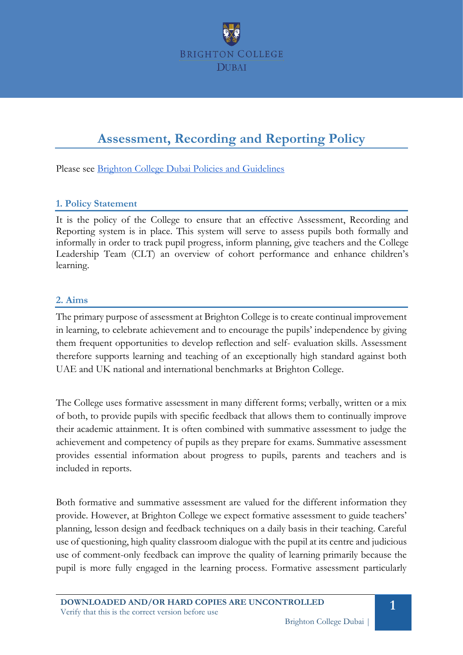

# **Assessment, Recording and Reporting Policy**

Please see [Brighton College Dubai Policies and Guidelines](https://docs.google.com/document/d/1kc_VdWXyY6qg1zTQdK4D2K0V6vxnc_SfIYgC5PHhZPc/edit#heading=h.xjn1bkg5d5v2)

### **1. Policy Statement**

It is the policy of the College to ensure that an effective Assessment, Recording and Reporting system is in place. This system will serve to assess pupils both formally and informally in order to track pupil progress, inform planning, give teachers and the College Leadership Team (CLT) an overview of cohort performance and enhance children's learning.

# **2. Aims**

The primary purpose of assessment at Brighton College is to create continual improvement in learning, to celebrate achievement and to encourage the pupils' independence by giving them frequent opportunities to develop reflection and self- evaluation skills. Assessment therefore supports learning and teaching of an exceptionally high standard against both UAE and UK national and international benchmarks at Brighton College.

The College uses formative assessment in many different forms; verbally, written or a mix of both, to provide pupils with specific feedback that allows them to continually improve their academic attainment. It is often combined with summative assessment to judge the achievement and competency of pupils as they prepare for exams. Summative assessment provides essential information about progress to pupils, parents and teachers and is included in reports.

Both formative and summative assessment are valued for the different information they provide. However, at Brighton College we expect formative assessment to guide teachers' planning, lesson design and feedback techniques on a daily basis in their teaching. Careful use of questioning, high quality classroom dialogue with the pupil at its centre and judicious use of comment-only feedback can improve the quality of learning primarily because the pupil is more fully engaged in the learning process. Formative assessment particularly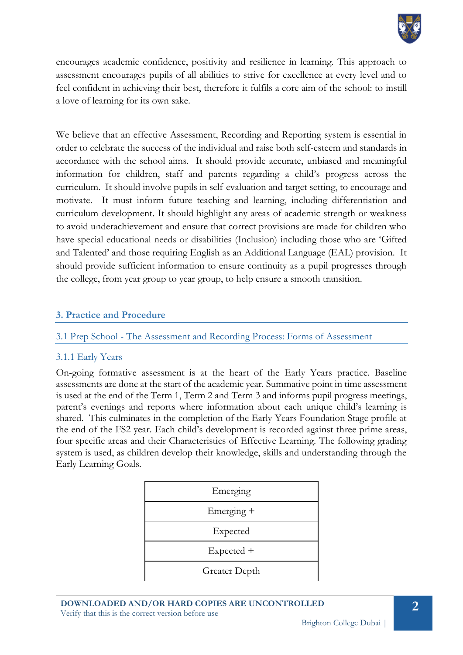

encourages academic confidence, positivity and resilience in learning. This approach to assessment encourages pupils of all abilities to strive for excellence at every level and to feel confident in achieving their best, therefore it fulfils a core aim of the school: to instill a love of learning for its own sake.

We believe that an effective Assessment, Recording and Reporting system is essential in order to celebrate the success of the individual and raise both self-esteem and standards in accordance with the school aims. It should provide accurate, unbiased and meaningful information for children, staff and parents regarding a child's progress across the curriculum. It should involve pupils in self-evaluation and target setting, to encourage and motivate. It must inform future teaching and learning, including differentiation and curriculum development. It should highlight any areas of academic strength or weakness to avoid underachievement and ensure that correct provisions are made for children who have special educational needs or disabilities (Inclusion) including those who are 'Gifted and Talented' and those requiring English as an Additional Language (EAL) provision. It should provide sufficient information to ensure continuity as a pupil progresses through the college, from year group to year group, to help ensure a smooth transition.

### **3. Practice and Procedure**

3.1 Prep School - The Assessment and Recording Process: Forms of Assessment

#### 3.1.1 Early Years

On-going formative assessment is at the heart of the Early Years practice. Baseline assessments are done at the start of the academic year. Summative point in time assessment is used at the end of the Term 1, Term 2 and Term 3 and informs pupil progress meetings, parent's evenings and reports where information about each unique child's learning is shared. This culminates in the completion of the Early Years Foundation Stage profile at the end of the FS2 year. Each child's development is recorded against three prime areas, four specific areas and their Characteristics of Effective Learning. The following grading system is used, as children develop their knowledge, skills and understanding through the Early Learning Goals.

| Emerging      |
|---------------|
| Emerging +    |
| Expected      |
| Expected +    |
| Greater Depth |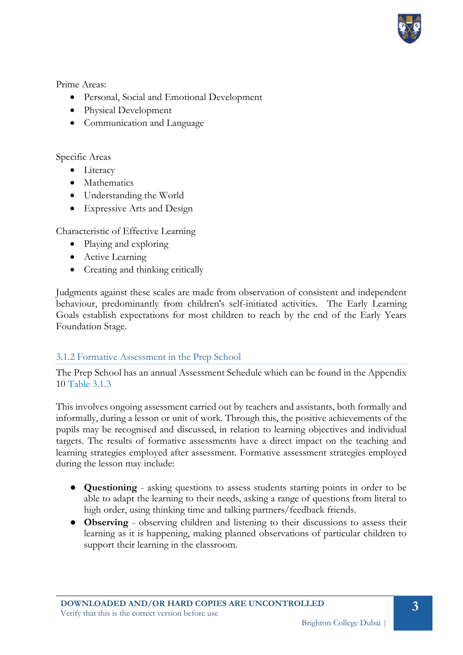

Prime Areas:

- Personal, Social and Emotional Development
- Physical Development
- Communication and Language

## Specific Areas

- Literacy
- Mathematics
- Understanding the World
- Expressive Arts and Design

Characteristic of Effective Learning

- Playing and exploring
- Active Learning
- Creating and thinking critically

Judgments against these scales are made from observation of consistent and independent behaviour, predominantly from children's self-initiated activities. The Early Learning Goals establish expectations for most children to reach by the end of the Early Years Foundation Stage.

# 3.1.2 Formative Assessment in the Prep School

The Prep School has an annual Assessment Schedule which can be found in the Appendix 10 Table 3.1.3

This involves ongoing assessment carried out by teachers and assistants, both formally and informally, during a lesson or unit of work. Through this, the positive achievements of the pupils may be recognised and discussed, in relation to learning objectives and individual targets. The results of formative assessments have a direct impact on the teaching and learning strategies employed after assessment. Formative assessment strategies employed during the lesson may include:

- **Questioning** asking questions to assess students starting points in order to be able to adapt the learning to their needs, asking a range of questions from literal to high order, using thinking time and talking partners/feedback friends.
- **Observing**  observing children and listening to their discussions to assess their learning as it is happening, making planned observations of particular children to support their learning in the classroom.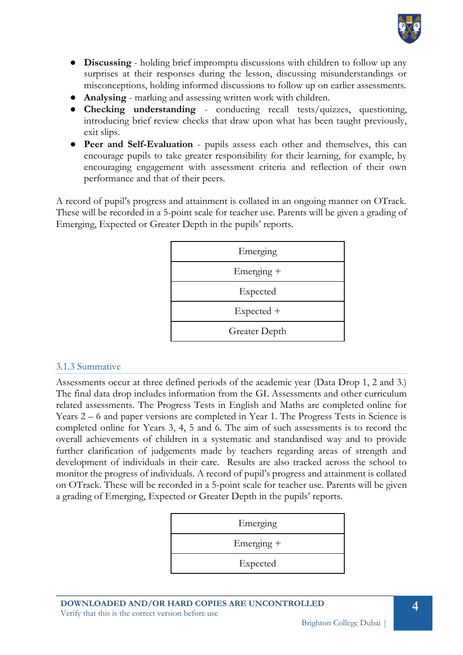

- **Discussing** holding brief impromptu discussions with children to follow up any surprises at their responses during the lesson, discussing misunderstandings or misconceptions, holding informed discussions to follow up on earlier assessments.
- **Analysing** marking and assessing written work with children.
- **Checking understanding** conducting recall tests/quizzes, questioning, introducing brief review checks that draw upon what has been taught previously, exit slips.
- **Peer and Self-Evaluation** pupils assess each other and themselves, this can encourage pupils to take greater responsibility for their learning, for example, by encouraging engagement with assessment criteria and reflection of their own performance and that of their peers.

A record of pupil's progress and attainment is collated in an ongoing manner on OTrack. These will be recorded in a 5-point scale for teacher use. Parents will be given a grading of Emerging, Expected or Greater Depth in the pupils' reports.

| Emerging      |
|---------------|
| Emerging +    |
| Expected      |
| Expected +    |
| Greater Depth |

# 3.1.3 Summative

Assessments occur at three defined periods of the academic year (Data Drop 1, 2 and 3.) The final data drop includes information from the GL Assessments and other curriculum related assessments. The Progress Tests in English and Maths are completed online for Years 2 – 6 and paper versions are completed in Year 1. The Progress Tests in Science is completed online for Years 3, 4, 5 and 6. The aim of such assessments is to record the overall achievements of children in a systematic and standardised way and to provide further clarification of judgements made by teachers regarding areas of strength and development of individuals in their care. Results are also tracked across the school to monitor the progress of individuals. A record of pupil's progress and attainment is collated on OTrack. These will be recorded in a 5-point scale for teacher use. Parents will be given a grading of Emerging, Expected or Greater Depth in the pupils' reports.

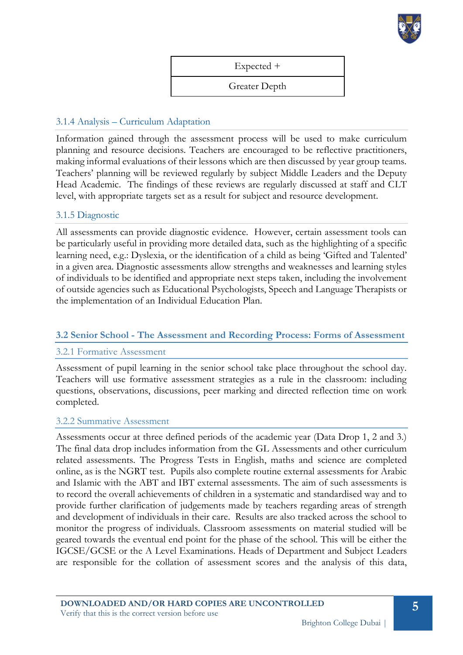

Expected +

Greater Depth

### 3.1.4 Analysis – Curriculum Adaptation

Information gained through the assessment process will be used to make curriculum planning and resource decisions. Teachers are encouraged to be reflective practitioners, making informal evaluations of their lessons which are then discussed by year group teams. Teachers' planning will be reviewed regularly by subject Middle Leaders and the Deputy Head Academic. The findings of these reviews are regularly discussed at staff and CLT level, with appropriate targets set as a result for subject and resource development.

#### 3.1.5 Diagnostic

All assessments can provide diagnostic evidence. However, certain assessment tools can be particularly useful in providing more detailed data, such as the highlighting of a specific learning need, e.g.: Dyslexia, or the identification of a child as being 'Gifted and Talented' in a given area. Diagnostic assessments allow strengths and weaknesses and learning styles of individuals to be identified and appropriate next steps taken, including the involvement of outside agencies such as Educational Psychologists, Speech and Language Therapists or the implementation of an Individual Education Plan.

#### **3.2 Senior School - The Assessment and Recording Process: Forms of Assessment**

#### 3.2.1 Formative Assessment

Assessment of pupil learning in the senior school take place throughout the school day. Teachers will use formative assessment strategies as a rule in the classroom: including questions, observations, discussions, peer marking and directed reflection time on work completed.

#### 3.2.2 Summative Assessment

Assessments occur at three defined periods of the academic year (Data Drop 1, 2 and 3.) The final data drop includes information from the GL Assessments and other curriculum related assessments. The Progress Tests in English, maths and science are completed online, as is the NGRT test. Pupils also complete routine external assessments for Arabic and Islamic with the ABT and IBT external assessments. The aim of such assessments is to record the overall achievements of children in a systematic and standardised way and to provide further clarification of judgements made by teachers regarding areas of strength and development of individuals in their care. Results are also tracked across the school to monitor the progress of individuals. Classroom assessments on material studied will be geared towards the eventual end point for the phase of the school. This will be either the IGCSE/GCSE or the A Level Examinations. Heads of Department and Subject Leaders are responsible for the collation of assessment scores and the analysis of this data,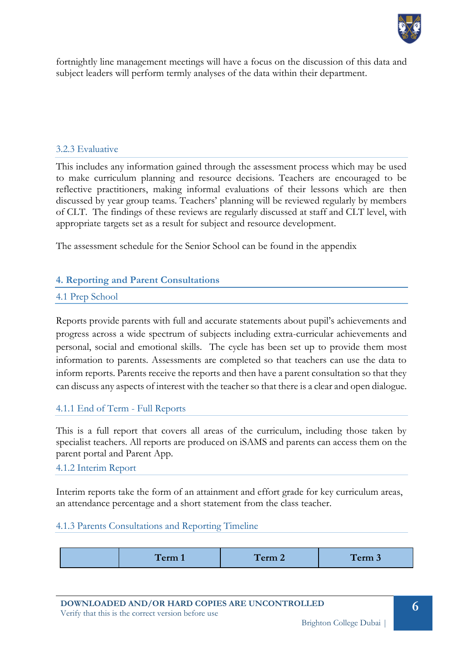

fortnightly line management meetings will have a focus on the discussion of this data and subject leaders will perform termly analyses of the data within their department.

#### 3.2.3 Evaluative

This includes any information gained through the assessment process which may be used to make curriculum planning and resource decisions. Teachers are encouraged to be reflective practitioners, making informal evaluations of their lessons which are then discussed by year group teams. Teachers' planning will be reviewed regularly by members of CLT. The findings of these reviews are regularly discussed at staff and CLT level, with appropriate targets set as a result for subject and resource development.

The assessment schedule for the Senior School can be found in the appendix

#### **4. Reporting and Parent Consultations**

#### 4.1 Prep School

Reports provide parents with full and accurate statements about pupil's achievements and progress across a wide spectrum of subjects including extra-curricular achievements and personal, social and emotional skills. The cycle has been set up to provide them most information to parents. Assessments are completed so that teachers can use the data to inform reports. Parents receive the reports and then have a parent consultation so that they can discuss any aspects of interest with the teacher so that there is a clear and open dialogue.

#### 4.1.1 End of Term - Full Reports

This is a full report that covers all areas of the curriculum, including those taken by specialist teachers. All reports are produced on iSAMS and parents can access them on the parent portal and Parent App.

#### 4.1.2 Interim Report

Interim reports take the form of an attainment and effort grade for key curriculum areas, an attendance percentage and a short statement from the class teacher.

#### 4.1.3 Parents Consultations and Reporting Timeline

| <b>Contract Contract Contract Contract</b><br><b>Contract Contract Contract</b><br>$\sqrt{11111}$<br>------<br>-- | ------<br>$-$<br>- |
|-------------------------------------------------------------------------------------------------------------------|--------------------|
|-------------------------------------------------------------------------------------------------------------------|--------------------|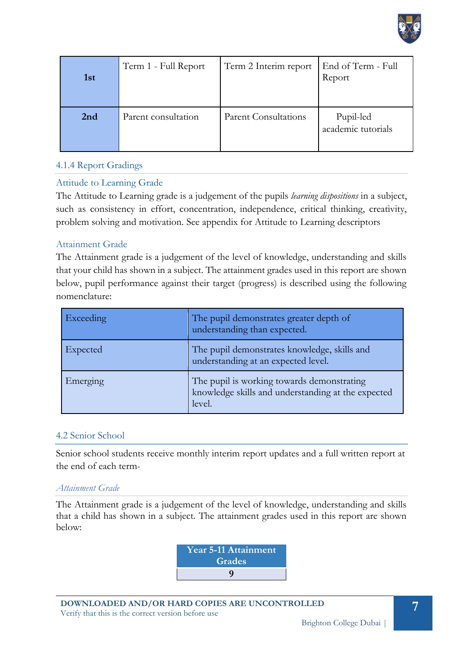

| 1 <sub>st</sub> | Term 1 - Full Report | Term 2 Interim report       | End of Term - Full<br>Report    |
|-----------------|----------------------|-----------------------------|---------------------------------|
| 2nd             | Parent consultation  | <b>Parent Consultations</b> | Pupil-led<br>academic tutorials |

# 4.1.4 Report Gradings

# Attitude to Learning Grade

The Attitude to Learning grade is a judgement of the pupils *learning dispositions* in a subject, such as consistency in effort, concentration, independence, critical thinking, creativity, problem solving and motivation. See appendix for Attitude to Learning descriptors

# Attainment Grade

The Attainment grade is a judgement of the level of knowledge, understanding and skills that your child has shown in a subject. The attainment grades used in this report are shown below, pupil performance against their target (progress) is described using the following nomenclature:

| Exceeding | The pupil demonstrates greater depth of<br>understanding than expected.                                    |
|-----------|------------------------------------------------------------------------------------------------------------|
| Expected  | The pupil demonstrates knowledge, skills and<br>understanding at an expected level.                        |
| Emerging  | The pupil is working towards demonstrating<br>knowledge skills and understanding at the expected<br>level. |

# 4.2 Senior School

Senior school students receive monthly interim report updates and a full written report at the end of each term-

#### *Attainment Grade*

The Attainment grade is a judgement of the level of knowledge, understanding and skills that a child has shown in a subject. The attainment grades used in this report are shown below:

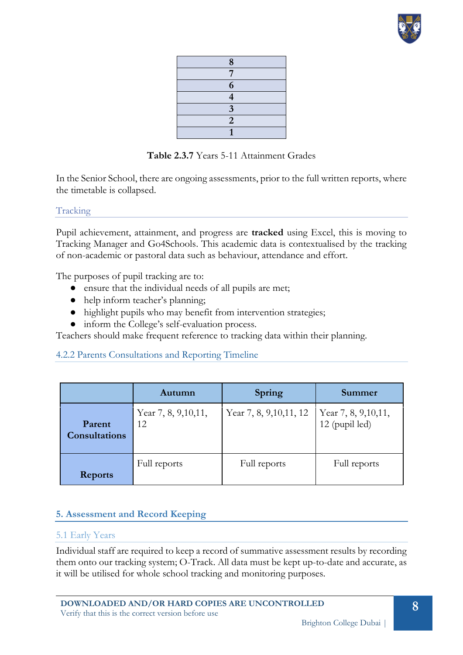

| 8                       |
|-------------------------|
| 7                       |
| 6                       |
| $\overline{\mathbf{4}}$ |
| 3                       |
| $\overline{2}$          |
|                         |

**Table 2.3.7** Years 5-11 Attainment Grades

In the Senior School, there are ongoing assessments, prior to the full written reports, where the timetable is collapsed.

Tracking

Pupil achievement, attainment, and progress are **tracked** using Excel, this is moving to Tracking Manager and Go4Schools. This academic data is contextualised by the tracking of non-academic or pastoral data such as behaviour, attendance and effort.

The purposes of pupil tracking are to:

- ensure that the individual needs of all pupils are met;
- help inform teacher's planning;
- highlight pupils who may benefit from intervention strategies;
- inform the College's self-evaluation process.

Teachers should make frequent reference to tracking data within their planning.

# 4.2.2 Parents Consultations and Reporting Timeline

|                                | Autumn                      | <b>Spring</b>            | Summer                                  |
|--------------------------------|-----------------------------|--------------------------|-----------------------------------------|
| Parent<br><b>Consultations</b> | Year 7, 8, 9, 10, 11,<br>12 | Year 7, 8, 9, 10, 11, 12 | Year 7, 8, 9, 10, 11,<br>12 (pupil led) |
| <b>Reports</b>                 | Full reports                | Full reports             | Full reports                            |

# **5. Assessment and Record Keeping**

#### 5.1 Early Years

Individual staff are required to keep a record of summative assessment results by recording them onto our tracking system; O-Track. All data must be kept up-to-date and accurate, as it will be utilised for whole school tracking and monitoring purposes.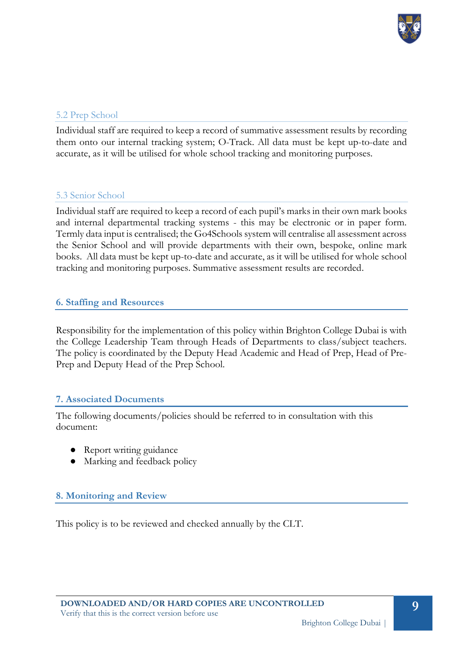

## 5.2 Prep School

Individual staff are required to keep a record of summative assessment results by recording them onto our internal tracking system; O-Track. All data must be kept up-to-date and accurate, as it will be utilised for whole school tracking and monitoring purposes.

### 5.3 Senior School

Individual staff are required to keep a record of each pupil's marks in their own mark books and internal departmental tracking systems - this may be electronic or in paper form. Termly data input is centralised; the Go4Schools system will centralise all assessment across the Senior School and will provide departments with their own, bespoke, online mark books. All data must be kept up-to-date and accurate, as it will be utilised for whole school tracking and monitoring purposes. Summative assessment results are recorded.

### **6. Staffing and Resources**

Responsibility for the implementation of this policy within Brighton College Dubai is with the College Leadership Team through Heads of Departments to class/subject teachers. The policy is coordinated by the Deputy Head Academic and Head of Prep, Head of Pre-Prep and Deputy Head of the Prep School.

# **7. Associated Documents**

The following documents/policies should be referred to in consultation with this document:

- Report writing guidance
- Marking and feedback policy

# **8. Monitoring and Review**

This policy is to be reviewed and checked annually by the CLT.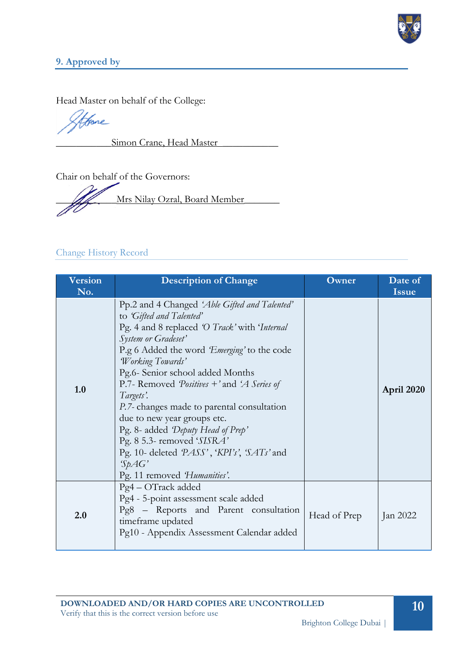

# **9. Approved by**

Head Master on behalf of the College:

Hore

Simon Crane, Head Master

Chair on behalf of the Governors:

Mrs Nilay Ozral, Board Member

# Change History Record

| <b>Version</b><br>No. | <b>Description of Change</b>                                                                                                                                                                                                                                                                                                                                                                                                                                                                                                                                               | Owner | Date of<br><b>Issue</b> |
|-----------------------|----------------------------------------------------------------------------------------------------------------------------------------------------------------------------------------------------------------------------------------------------------------------------------------------------------------------------------------------------------------------------------------------------------------------------------------------------------------------------------------------------------------------------------------------------------------------------|-------|-------------------------|
| 1.0                   | Pp.2 and 4 Changed 'Able Gifted and Talented'<br>to 'Gifted and Talented'<br>Pg. 4 and 8 replaced 'O Track' with 'Internal<br>System or Gradeset'<br>P.g 6 Added the word 'Emerging' to the code<br><i>Working Towards'</i><br>Pg.6- Senior school added Months<br>P.7- Removed <i>Positives</i> + ' and 'A Series of<br>Targets'.<br>P.7- changes made to parental consultation<br>due to new year groups etc.<br>Pg. 8- added 'Deputy Head of Prep'<br>Pg. 8 5.3- removed 'SISRA'<br>Pg. 10- deleted PASS', 'KPI's', 'SATs' and<br>SpAG'<br>Pg. 11 removed 'Humanities'. |       | April 2020              |
| 2.0                   | Pg4 – OTrack added<br>Pg4 - 5-point assessment scale added<br>Pg8 – Reports and Parent consultation<br>Head of Prep<br>timeframe updated<br>Pg10 - Appendix Assessment Calendar added                                                                                                                                                                                                                                                                                                                                                                                      |       | Jan 2022                |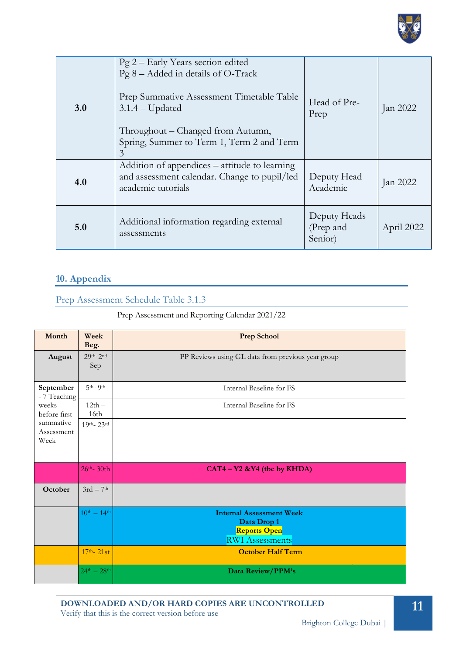

| 3.0 | Pg 2 – Early Years section edited<br>$Pg 8 - Added in details of O-Track$<br>Prep Summative Assessment Timetable Table<br>$3.1.4 -$ Updated<br>Throughout – Changed from Autumn,<br>Spring, Summer to Term 1, Term 2 and Term<br>3 | Head of Pre-<br>Prep                 | Jan 2022   |
|-----|------------------------------------------------------------------------------------------------------------------------------------------------------------------------------------------------------------------------------------|--------------------------------------|------------|
| 4.0 | Addition of appendices – attitude to learning<br>and assessment calendar. Change to pupil/led<br>academic tutorials                                                                                                                | Deputy Head<br>Academic              | Jan 2022   |
| 5.0 | Additional information regarding external<br>assessments                                                                                                                                                                           | Deputy Heads<br>(Prep and<br>Senior) | April 2022 |

# **10. Appendix**

Prep Assessment Schedule Table 3.1.3

Prep Assessment and Reporting Calendar 2021/22

| Month                           | Week<br>Beg.            | <b>Prep School</b>                                                                              |
|---------------------------------|-------------------------|-------------------------------------------------------------------------------------------------|
| August                          | $29th-2nd$<br>Sep       | PP Reviews using GL data from previous year group                                               |
| September<br>- 7 Teaching       | $5th$ - 9 <sup>th</sup> | Internal Baseline for FS                                                                        |
| weeks<br>before first           | $12th -$<br>16th        | Internal Baseline for FS                                                                        |
| summative<br>Assessment<br>Week | $19th - 23rd$           |                                                                                                 |
|                                 | $26th - 30th$           | $CAT4 - Y2 &Y4$ (the by KHDA)                                                                   |
| October                         | $3rd - 7th$             |                                                                                                 |
|                                 | $10^{th} - 14^{th}$     | <b>Internal Assessment Week</b><br>Data Drop 1<br><b>Reports Open</b><br><b>RWI</b> Assessments |
|                                 | $17th - 21st$           | <b>October Half Term</b>                                                                        |
|                                 | $24^{th} - 28^{th}$     | Data Review/PPM's                                                                               |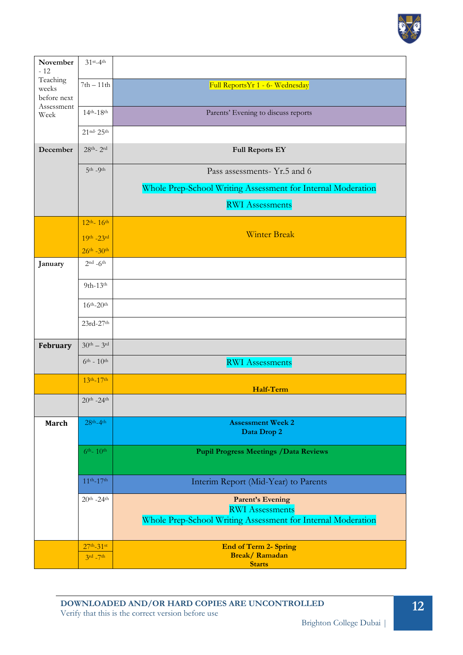

| November<br>$-12$                | $31$ <sup>st</sup> -4 <sup>th</sup> |                                                              |
|----------------------------------|-------------------------------------|--------------------------------------------------------------|
| Teaching<br>weeks<br>before next | $7th - 11th$                        | Full ReportsYr 1 - 6- Wednesday                              |
| Assessment<br>Week               | $14^{th} - 18^{th}$                 | Parents' Evening to discuss reports                          |
|                                  | $21^{nd-}25^{th}$                   |                                                              |
| December                         | $28th - 2rd$                        | <b>Full Reports EY</b>                                       |
|                                  | $5th - 9th$                         | Pass assessments- Yr.5 and 6                                 |
|                                  |                                     | Whole Prep-School Writing Assessment for Internal Moderation |
|                                  |                                     | <b>RWI</b> Assessments                                       |
|                                  | $12^{th} - 16^{th}$                 |                                                              |
|                                  | $19^{th} - 23^{rd}$                 | <b>Winter Break</b>                                          |
|                                  | $26^{th} - 30^{th}$                 |                                                              |
| January                          | $2nd - 6th$                         |                                                              |
|                                  | $9th-13th$                          |                                                              |
|                                  | $16th-20th$                         |                                                              |
|                                  | $23rd-27th$                         |                                                              |
| February                         | $30th - 3rd$                        |                                                              |
|                                  | $6^{th} - 10^{th}$                  | <b>RWI</b> Assessments                                       |
|                                  | $13^{th} - 17^{th}$                 |                                                              |
|                                  | $20^{th}$ -24 <sup>th</sup>         | Half-Term                                                    |
| <b>March</b>                     | $28th-4th$                          | <b>Assessment Week 2</b>                                     |
|                                  |                                     | Data Drop 2                                                  |
|                                  | $6^{th}$ - $10^{th}$                | <b>Pupil Progress Meetings / Data Reviews</b>                |
|                                  | $11^{th} - 17^{th}$                 | Interim Report (Mid-Year) to Parents                         |
|                                  | $20^{th}$ -24 <sup>th</sup>         |                                                              |
|                                  |                                     | <b>Parent's Evening</b><br><b>RWI</b> Assessments            |
|                                  |                                     | Whole Prep-School Writing Assessment for Internal Moderation |
|                                  | $27^{th} - 31^{st}$                 | <b>End of Term 2- Spring</b>                                 |
|                                  | $3rd - 7th$                         | <b>Break/Ramadan</b><br><b>Starts</b>                        |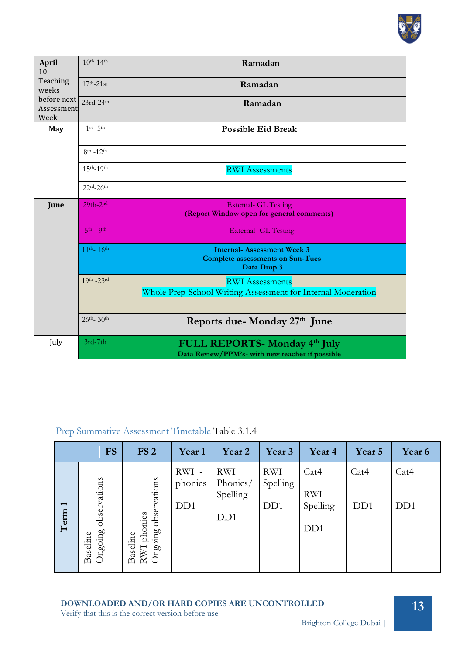

| <b>April</b><br>10                | $10^{th} - 14^{th}$          | Ramadan                                                                                     |
|-----------------------------------|------------------------------|---------------------------------------------------------------------------------------------|
| Teaching<br>weeks                 | $17th - 21st$                | Ramadan                                                                                     |
| before next<br>Assessment<br>Week | $23rd-24th$                  | Ramadan                                                                                     |
| May                               | $1$ st $-5$ th               | <b>Possible Eid Break</b>                                                                   |
|                                   | $8^{th} - 12^{th}$           |                                                                                             |
|                                   | $15th - 19th$                | <b>RWI</b> Assessments                                                                      |
|                                   | $22rd-26th$                  |                                                                                             |
| June                              | $29th-2nd$                   | <b>External- GL Testing</b><br>(Report Window open for general comments)                    |
|                                   | $5th$ - 9 <sup>th</sup>      | <b>External- GL Testing</b>                                                                 |
|                                   | $11^{th} - 16^{th}$          | <b>Internal-Assessment Week 3</b><br><b>Complete assessments on Sun-Tues</b><br>Data Drop 3 |
|                                   | $19th - 23rd$                | <b>RWI</b> Assessments<br>Whole Prep-School Writing Assessment for Internal Moderation      |
|                                   | $26^{th}$ - 30 <sup>th</sup> | Reports due-Monday 27 <sup>th</sup> June                                                    |
| July                              | $3rd-7th$                    | FULL REPORTS- Monday 4th July<br>Data Review/PPM's- with new teacher if possible            |

# Prep Summative Assessment Timetable Table 3.1.4

|                                  |                                     | <b>FS</b> | FS <sub>2</sub>                                    | Year 1                              | Year 2                                                 | Year 3                                     | Year 4                                             | Year 5                   | Year 6                   |
|----------------------------------|-------------------------------------|-----------|----------------------------------------------------|-------------------------------------|--------------------------------------------------------|--------------------------------------------|----------------------------------------------------|--------------------------|--------------------------|
| $\overline{\phantom{0}}$<br>Term | observations<br>Ongoing<br>Baseline |           | observations<br>RWI phonics<br>Ongoing<br>Baseline | RWI-<br>phonics<br>D <sub>D</sub> 1 | <b>RWI</b><br>Phonics/<br>Spelling<br>D <sub>D</sub> 1 | <b>RWI</b><br>Spelling<br>D <sub>D</sub> 1 | Cat4<br><b>RWI</b><br>Spelling<br>D <sub>D</sub> 1 | Cat4<br>D <sub>D</sub> 1 | Cat4<br>D <sub>D</sub> 1 |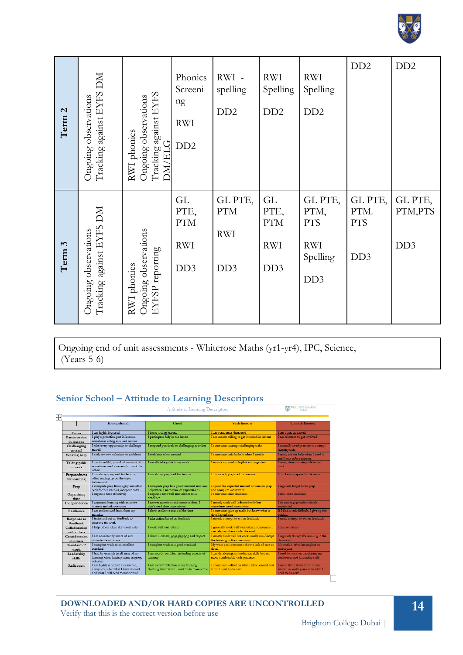

| Term <sub>2</sub> | MQ<br>Tracking against EYFS<br>Ongoing observations | against EYFS<br>Ongoing observations<br>RWI phonics<br><b>ELG</b><br>Tracking<br>$\overline{\text{M}}$ | Phonics<br>Screeni<br>ng<br><b>RWI</b><br>DD <sub>2</sub> | RWI -<br>spelling<br>DD2                              | <b>RWI</b><br>Spelling<br>DD2                             | <b>RWI</b><br>Spelling<br>DD <sub>2</sub>                                  | D <sub>D</sub> <sub>2</sub>                      | D <sub>D</sub> <sub>2</sub>           |
|-------------------|-----------------------------------------------------|--------------------------------------------------------------------------------------------------------|-----------------------------------------------------------|-------------------------------------------------------|-----------------------------------------------------------|----------------------------------------------------------------------------|--------------------------------------------------|---------------------------------------|
| Term 3            | Tracking against EYFS DM<br>Ongoing observations    | Ongoing observations<br>EYFSP reporting<br>RWI phonics                                                 | <b>GL</b><br>PTE,<br>$\rm PTM$<br><b>RWI</b><br>DD3       | GL PTE,<br>$\rm PTM$<br><b>RWI</b><br>DD <sub>3</sub> | GL<br>PTE,<br><b>PTM</b><br><b>RWI</b><br>DD <sub>3</sub> | GL PTE,<br>PTM,<br><b>PTS</b><br><b>RWI</b><br>Spelling<br>DD <sub>3</sub> | GL PTE,<br>PTM.<br><b>PTS</b><br>DD <sub>3</sub> | GL PTE,<br>PTM,PTS<br>DD <sub>3</sub> |

Ongoing end of unit assessments - Whiterose Maths (yr1-yr4), IPC, Science, (Years 5-6)

# **Senior School – Attitude to Learning Descriptors**

|                                | Exceptional                                                                                                          | Good                                                                                  | <b>Satisfactory</b>                                                                 | Unsatisfactory                                                                            |
|--------------------------------|----------------------------------------------------------------------------------------------------------------------|---------------------------------------------------------------------------------------|-------------------------------------------------------------------------------------|-------------------------------------------------------------------------------------------|
| Focus                          | I am highly focussed                                                                                                 | I focus well in lessons                                                               | I am sometimes distracted                                                           | I am often distracted                                                                     |
| Participation<br>in lessons    | I play a proactive part in lessons,<br>sometimes acting as a lead learner                                            | I participate fully in the lesson                                                     | I am mostly willing to get involved in lessons                                      | I am reluctant to get involved                                                            |
| Challenging<br>myself          | I take every opportunity to challenge<br>myself                                                                      | I respond positively to challenging activities                                        | I sometimes attempt challenging tasks                                               | I normally need pressure to attempt<br>learning tasks                                     |
| Seeking help                   | I seek my own solutions to problems                                                                                  | I seek help when needed                                                               | I sometimes ask for help when I need it                                             | I rarely ask for help when I need it<br>and I may refuse support.                         |
| Taking pride<br>in work        | I am incredibly proud of my work, it is<br>sometimes used as exemplar work for<br>others                             | I usually take pride in my work                                                       | I ensure my work is legible and organised                                           | I rarely demonstrate pride in my<br>work                                                  |
| Preparedness<br>for learning   | I am always prepared for lessons,<br>often reading up on the topic<br>heforehand                                     | I am always prepared for lessons                                                      | I am mostly prepared for lessons                                                    | I can be unprepared for lessons                                                           |
| Prep                           | I complete prep thoroughly and often<br>seek further learning independently                                          | I complete prep to a good standard and seek<br>help when I am unsure of expectations  | I spend the expected amount of time on prep<br>and complete most work               | I regularly forget to do prep                                                             |
| Organising<br>time             | I organise time effectively                                                                                          | I organise time well and seldom miss<br>deadlines                                     | I sometimes miss deadlines                                                          | I miss most deadlines                                                                     |
| Independence                   | I approach learning with an active<br>interest and ask questions                                                     | I answer questions and connect ideas. I<br>don't need close supervision               | I mostly work well independently but<br>sometimes need supervision                  | I do not engage unless closely<br>supervised                                              |
| Resilience                     | I am resilient and learn from my<br>mistakes                                                                         | I show resilience most of the time                                                    | I sometimes give up easily but know what to<br>do if I need help                    | If I find a task difficult, I give up too<br>quickly.                                     |
| <b>Response to</b><br>feedback | I invite and act on feedback to<br>improve my work                                                                   | I take action based on feedback                                                       | I mostly attempt to act on feedback                                                 | I rarely attempt to act on feedback                                                       |
| Collaboration<br>with others   | I help others when they need help                                                                                    | I work well with others                                                               | I generally work well with others, sometimes I<br>can rely on others to do the work | I distract others                                                                         |
| Consideration<br>of others     | I am consistently aware of and<br>considerate of others                                                              | I show kindness, consideration and respect                                            | I mostly work well but occasionally can disrupt<br>the learning in the classroom    | I regularly disrupt the learning in the<br>classroom                                      |
| Standard of<br>work            | I complete work to an excellent<br>standard                                                                          | I complete work to a good standard                                                    | My work can sometimes show a lack of care or<br>detail                              | My work is often incomplete or<br>inadequate                                              |
| Leadership<br>skills           | I lead by example in all areas of my<br>learning, often leading teams in group<br>activities                         | I am mostly confident in leading aspects of<br>learning                               | I am developing my leadership skills but am<br>more comfortable with guidance       | I need to work on developing my<br>confidence and leadership skills.                      |
| Reflection                     | I am highly reflective as a learner. I<br>always consider what I have learned<br>and what I still need to understand | I am mostly reflective in my learning,<br>thinking about what I need to do to improve | I sometimes reflect on what I have learned and<br>what I need to do next            | I rarely think about what I have<br>learned or make plans as to what I<br>need to do next |